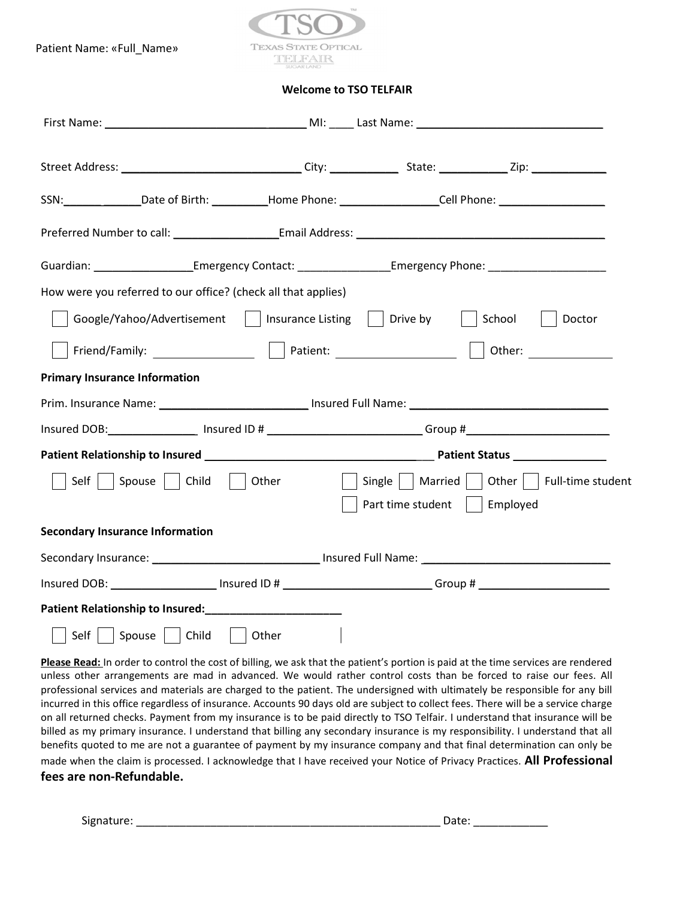Patient Name: «Full\_Name»



Welcome to TSO TELFAIR

| SSN: ________________Date of Birth: ____________Home Phone: __________________Cell Phone: ____________________              |
|-----------------------------------------------------------------------------------------------------------------------------|
|                                                                                                                             |
| Guardian: ________________________Emergency Contact: ____________________Emergency Phone: ____________________              |
| How were you referred to our office? (check all that applies)                                                               |
| Google/Yahoo/Advertisement     Insurance Listing     Drive by     School  <br>Doctor                                        |
|                                                                                                                             |
| <b>Primary Insurance Information</b>                                                                                        |
|                                                                                                                             |
| Insured DOB:_____________________ Insured ID # ________________________________Group #________________________              |
|                                                                                                                             |
| Single     Married     Other     Full-time student<br>  Self     Spouse     Child     Other<br>Part time student   Employed |
| <b>Secondary Insurance Information</b>                                                                                      |
| Secondary Insurance: ___________________________________ Insured Full Name: __________________________________              |
| Insured DOB: ______________________ Insured ID # ___________________________Group # ________________                        |
|                                                                                                                             |
| Self     Spouse     Child    <br>Other                                                                                      |

Please Read: In order to control the cost of billing, we ask that the patient's portion is paid at the time services are rendered unless other arrangements are mad in advanced. We would rather control costs than be forced to raise our fees. All professional services and materials are charged to the patient. The undersigned with ultimately be responsible for any bill incurred in this office regardless of insurance. Accounts 90 days old are subject to collect fees. There will be a service charge on all returned checks. Payment from my insurance is to be paid directly to TSO Telfair. I understand that insurance will be billed as my primary insurance. I understand that billing any secondary insurance is my responsibility. I understand that all benefits quoted to me are not a guarantee of payment by my insurance company and that final determination can only be made when the claim is processed. I acknowledge that I have received your Notice of Privacy Practices. All Professional fees are non-Refundable.

Signature: etc. and the state of the state of the state of the state of the state of the state of the state of the state of the state of the state of the state of the state of the state of the state of the state of the sta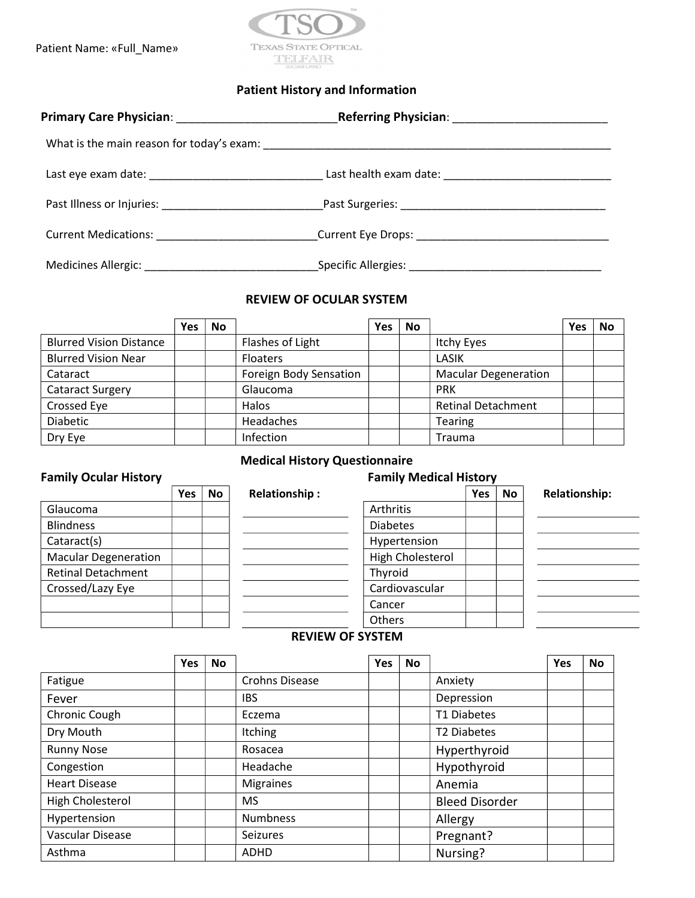Patient Name: «Full\_Name»



### Patient History and Information

| Current Medications: ________________________________Current Eye Drops: ____________________________ |                                                      |  |
|------------------------------------------------------------------------------------------------------|------------------------------------------------------|--|
|                                                                                                      | _Specific Allergies: _______________________________ |  |

#### REVIEW OF OCULAR SYSTEM

|                                | <b>Yes</b> | <b>No</b> |                        | <b>Yes</b> | No |                             | <b>Yes</b> | <b>No</b> |
|--------------------------------|------------|-----------|------------------------|------------|----|-----------------------------|------------|-----------|
| <b>Blurred Vision Distance</b> |            |           | Flashes of Light       |            |    | Itchy Eyes                  |            |           |
| <b>Blurred Vision Near</b>     |            |           | <b>Floaters</b>        |            |    | LASIK                       |            |           |
| Cataract                       |            |           | Foreign Body Sensation |            |    | <b>Macular Degeneration</b> |            |           |
| <b>Cataract Surgery</b>        |            |           | Glaucoma               |            |    | <b>PRK</b>                  |            |           |
| Crossed Eye                    |            |           | Halos                  |            |    | <b>Retinal Detachment</b>   |            |           |
| Diabetic                       |            |           | Headaches              |            |    | <b>Tearing</b>              |            |           |
| Dry Eye                        |            |           | Infection              |            |    | <b>Trauma</b>               |            |           |

## Medical History Questionnaire

# Family Ocular History **Family Ocular History**

|                             | Yes | No | <b>Relationship:</b> |                  | <b>Yes</b> | <b>No</b> | <b>Relationship:</b> |
|-----------------------------|-----|----|----------------------|------------------|------------|-----------|----------------------|
| Glaucoma                    |     |    |                      | Arthritis        |            |           |                      |
| <b>Blindness</b>            |     |    |                      | <b>Diabetes</b>  |            |           |                      |
| Cataract(s)                 |     |    |                      | Hypertension     |            |           |                      |
| <b>Macular Degeneration</b> |     |    |                      | High Cholesterol |            |           |                      |
| <b>Retinal Detachment</b>   |     |    |                      | Thyroid          |            |           |                      |
| Crossed/Lazy Eye            |     |    |                      | Cardiovascular   |            |           |                      |
|                             |     |    |                      | Cancer           |            |           |                      |
|                             |     |    |                      | Others           |            |           |                      |

#### REVIEW OF SYSTEM

|                      | <b>Yes</b> | No |                       | Yes | <b>No</b> |                         | <b>Yes</b> | <b>No</b> |
|----------------------|------------|----|-----------------------|-----|-----------|-------------------------|------------|-----------|
| Fatigue              |            |    | <b>Crohns Disease</b> |     |           | Anxiety                 |            |           |
| Fever                |            |    | <b>IBS</b>            |     |           | Depression              |            |           |
| Chronic Cough        |            |    | Eczema                |     |           | T1 Diabetes             |            |           |
| Dry Mouth            |            |    | Itching               |     |           | T <sub>2</sub> Diabetes |            |           |
| <b>Runny Nose</b>    |            |    | Rosacea               |     |           | Hyperthyroid            |            |           |
| Congestion           |            |    | Headache              |     |           | Hypothyroid             |            |           |
| <b>Heart Disease</b> |            |    | <b>Migraines</b>      |     |           | Anemia                  |            |           |
| High Cholesterol     |            |    | <b>MS</b>             |     |           | <b>Bleed Disorder</b>   |            |           |
| Hypertension         |            |    | <b>Numbness</b>       |     |           | Allergy                 |            |           |
| Vascular Disease     |            |    | Seizures              |     |           | Pregnant?               |            |           |
| Asthma               |            |    | <b>ADHD</b>           |     |           | Nursing?                |            |           |